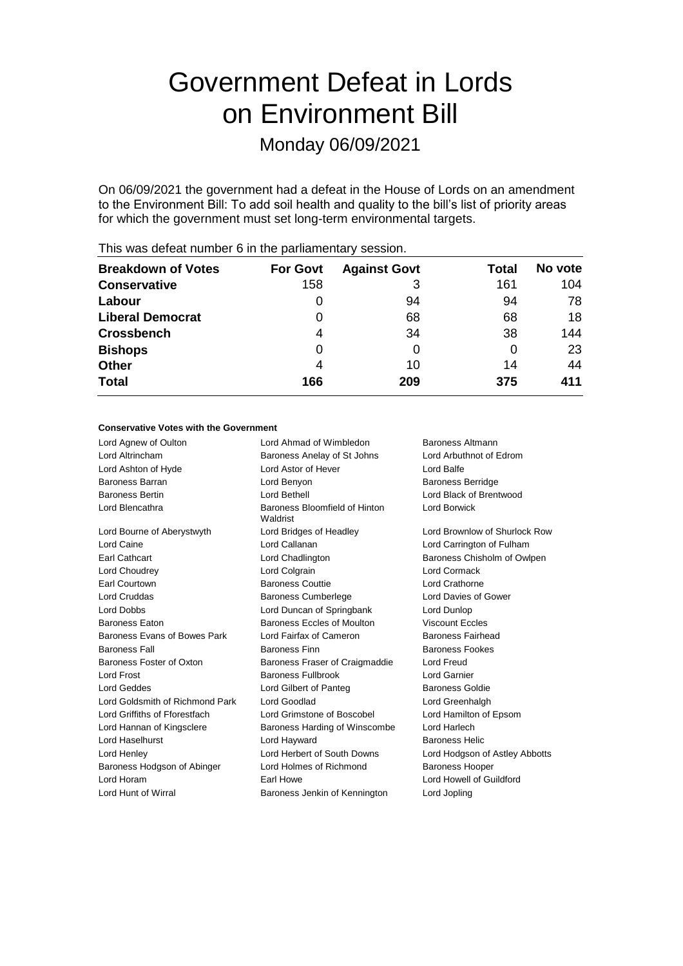# Government Defeat in Lords on Environment Bill

Monday 06/09/2021

On 06/09/2021 the government had a defeat in the House of Lords on an amendment to the Environment Bill: To add soil health and quality to the bill's list of priority areas for which the government must set long-term environmental targets.

| <b>Breakdown of Votes</b> | <b>For Govt</b> | <b>Against Govt</b> | Total | No vote |
|---------------------------|-----------------|---------------------|-------|---------|
| <b>Conservative</b>       | 158             | 3                   | 161   | 104     |
| Labour                    | 0               | 94                  | 94    | 78      |
| <b>Liberal Democrat</b>   | 0               | 68                  | 68    | 18      |
| <b>Crossbench</b>         | 4               | 34                  | 38    | 144     |
| <b>Bishops</b>            | 0               |                     | 0     | 23      |
| <b>Other</b>              | 4               | 10                  | 14    | 44      |
| <b>Total</b>              | 166             | 209                 | 375   | 411     |
|                           |                 |                     |       |         |

This was defeat number 6 in the parliamentary session.

## **Conservative Votes with the Government**

| Lord Agnew of Oulton            | Lord Ahmad of Wimbledon<br>Baroness Altmann       |                                |
|---------------------------------|---------------------------------------------------|--------------------------------|
| Lord Altrincham                 | Baroness Anelay of St Johns                       | Lord Arbuthnot of Edrom        |
| Lord Ashton of Hyde             | Lord Astor of Hever                               | Lord Balfe                     |
| Baroness Barran                 | Lord Benyon                                       | <b>Baroness Berridge</b>       |
| <b>Baroness Bertin</b>          | Lord Bethell                                      | Lord Black of Brentwood        |
| Lord Blencathra                 | Baroness Bloomfield of Hinton<br>Waldrist         | Lord Borwick                   |
| Lord Bourne of Aberystwyth      | Lord Bridges of Headley                           | Lord Brownlow of Shurlock Row  |
| Lord Caine                      | Lord Callanan                                     | Lord Carrington of Fulham      |
| Earl Cathcart                   | Lord Chadlington                                  | Baroness Chisholm of Owlpen    |
| Lord Choudrey                   | Lord Colgrain                                     | Lord Cormack                   |
| <b>Earl Courtown</b>            | <b>Baroness Couttie</b>                           | Lord Crathorne                 |
| Lord Cruddas                    | <b>Baroness Cumberlege</b>                        | Lord Davies of Gower           |
| Lord Dobbs                      | Lord Duncan of Springbank                         | Lord Dunlop                    |
| <b>Baroness Eaton</b>           | Baroness Eccles of Moulton                        | <b>Viscount Eccles</b>         |
| Baroness Evans of Bowes Park    | Lord Fairfax of Cameron                           | Baroness Fairhead              |
| <b>Baroness Fall</b>            | <b>Baroness Finn</b>                              | <b>Baroness Fookes</b>         |
| Baroness Foster of Oxton        | Baroness Fraser of Craigmaddie                    | Lord Freud                     |
| Lord Frost                      | <b>Baroness Fullbrook</b>                         | Lord Garnier                   |
| <b>Lord Geddes</b>              | Lord Gilbert of Panteg                            | <b>Baroness Goldie</b>         |
| Lord Goldsmith of Richmond Park | Lord Goodlad                                      | Lord Greenhalgh                |
| Lord Griffiths of Fforestfach   | Lord Grimstone of Boscobel                        | Lord Hamilton of Epsom         |
| Lord Hannan of Kingsclere       | Baroness Harding of Winscombe                     | Lord Harlech                   |
| Lord Haselhurst                 | Lord Hayward                                      | <b>Baroness Helic</b>          |
| Lord Henley                     | Lord Herbert of South Downs                       | Lord Hodgson of Astley Abbotts |
| Baroness Hodgson of Abinger     | Lord Holmes of Richmond<br><b>Baroness Hooper</b> |                                |
| Lord Horam                      | Earl Howe<br>Lord Howell of Guildford             |                                |
| Lord Hunt of Wirral             | Baroness Jenkin of Kennington                     | Lord Jopling                   |
|                                 |                                                   |                                |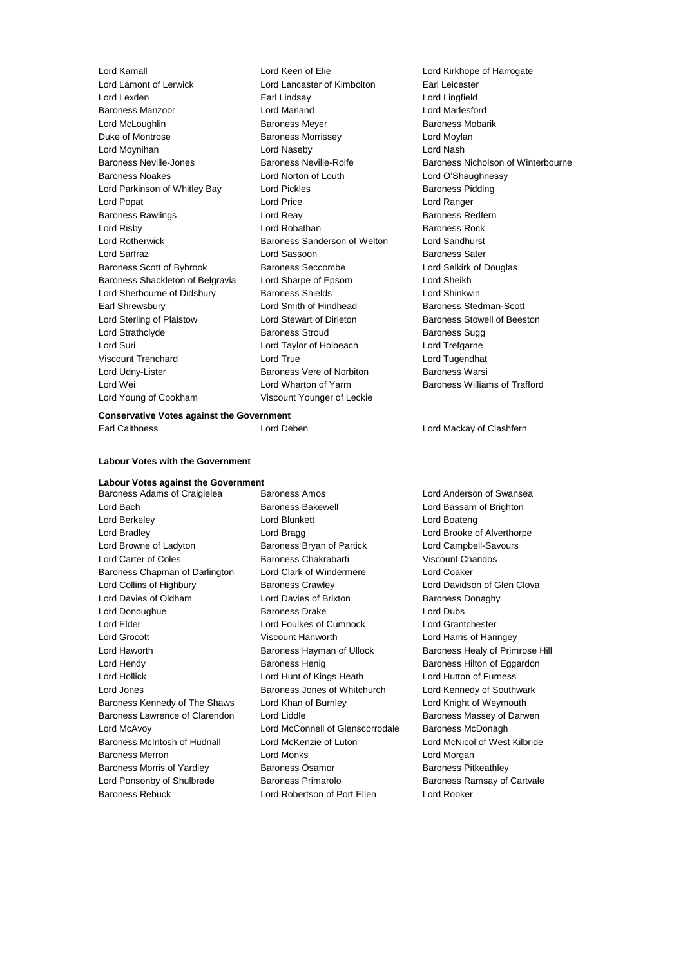| <b>Conservative Votes against the Government</b> |                                                 |                                    |  |
|--------------------------------------------------|-------------------------------------------------|------------------------------------|--|
| Lord Young of Cookham                            | Viscount Younger of Leckie                      |                                    |  |
| Lord Wei                                         | Lord Wharton of Yarm                            | Baroness Williams of Trafford      |  |
| Lord Udny-Lister                                 | Baroness Vere of Norbiton                       | <b>Baroness Warsi</b>              |  |
| Viscount Trenchard                               | Lord True                                       | Lord Tugendhat                     |  |
| Lord Suri                                        | Lord Taylor of Holbeach                         | Lord Trefgarne                     |  |
| Lord Strathclyde                                 | <b>Baroness Stroud</b>                          | <b>Baroness Sugg</b>               |  |
| Lord Sterling of Plaistow                        | Lord Stewart of Dirleton                        | Baroness Stowell of Beeston        |  |
| Earl Shrewsbury                                  | Lord Smith of Hindhead                          | Baroness Stedman-Scott             |  |
| Lord Sherbourne of Didsbury                      | <b>Baroness Shields</b>                         | Lord Shinkwin                      |  |
| Baroness Shackleton of Belgravia                 | Lord Sharpe of Epsom                            | Lord Sheikh                        |  |
| Baroness Scott of Bybrook                        | Baroness Seccombe                               | Lord Selkirk of Douglas            |  |
| Lord Sarfraz                                     | Lord Sassoon                                    | <b>Baroness Sater</b>              |  |
| <b>Lord Rotherwick</b>                           | Baroness Sanderson of Welton                    | Lord Sandhurst                     |  |
| Lord Risby                                       | Lord Robathan                                   | <b>Baroness Rock</b>               |  |
| <b>Baroness Rawlings</b>                         | Lord Reay                                       | <b>Baroness Redfern</b>            |  |
| Lord Popat                                       | Lord Price                                      | Lord Ranger                        |  |
| Lord Parkinson of Whitley Bay                    | <b>Lord Pickles</b>                             | <b>Baroness Pidding</b>            |  |
| <b>Baroness Noakes</b>                           | Lord Norton of Louth                            | Lord O'Shaughnessy                 |  |
| Lord Moynihan<br>Baroness Neville-Jones          | Lord Naseby<br>Baroness Neville-Rolfe           | Baroness Nicholson of Winterbourne |  |
| Duke of Montrose                                 | <b>Baroness Morrissey</b>                       | Lord Moylan<br>Lord Nash           |  |
| Lord McLoughlin                                  | <b>Baroness Meyer</b>                           | Baroness Mobarik                   |  |
| <b>Baroness Manzoor</b>                          | Lord Marland                                    | Lord Marlesford                    |  |
| Lord Lexden                                      | Earl Lindsay                                    | Lord Lingfield                     |  |
| Lord Lamont of Lerwick                           | Lord Lancaster of Kimbolton                     | Earl Leicester                     |  |
| Lord Kamall                                      | Lord Keen of Elie<br>Lord Kirkhope of Harrogate |                                    |  |
|                                                  |                                                 |                                    |  |

Earl Caithness Lord Deben Lord Mackay of Clashfern

#### **Labour Votes with the Government**

# **Labour Votes against the Government**

Lord Bach Baroness Bakewell Lord Bassam of Brighton Lord Berkeley **Lord Blunkett** Lord Boateng Lord Boateng Lord Bradley **Lord Bragg Lord Bragg Lord Brooke of Alverthorpe** Lord Browne of Ladyton Baroness Bryan of Partick Lord Campbell-Savours Lord Carter of Coles **Baroness Chakrabarti** Viscount Chandos Baroness Chapman of Darlington Lord Clark of Windermere Lord Coaker Lord Collins of Highbury Baroness Crawley Lord Davidson of Glen Clova Lord Davies of Oldham Lord Davies of Brixton Baroness Donaghy Lord Donoughue **Baroness Drake** Lord Dubs Lord Elder Lord Foulkes of Cumnock Lord Grantchester Lord Grocott Viscount Hanworth Lord Harris of Haringey Lord Haworth Baroness Hayman of Ullock Baroness Healy of Primrose Hill Lord Hendy **Baroness Henig** Baroness Henig Baroness Hilton of Eggardon Lord Hollick Lord Hunt of Kings Heath Lord Hutton of Furness Lord Jones **Baroness Jones of Whitchurch** Lord Kennedy of Southwark Baroness Kennedy of The Shaws Lord Khan of Burnley Lord Knight of Weymouth Baroness Lawrence of Clarendon Lord Liddle **Baroness Massey of Darwen** Lord McAvoy Lord McConnell of Glenscorrodale Baroness McDonagh Baroness McIntosh of Hudnall Lord McKenzie of Luton Lord McNicol of West Kilbride Baroness Merron **Lord Monks** Lord Monks **Lord Mongan** Baroness Morris of Yardley **Baroness Osamor** Baroness Paroness Pitkeathley Lord Ponsonby of Shulbrede Baroness Primarolo Baroness Ramsay of Cartvale Baroness Rebuck Lord Robertson of Port Ellen Lord Rooker

Baroness Adams of Craigielea Baroness Amos Lord Anderson of Swansea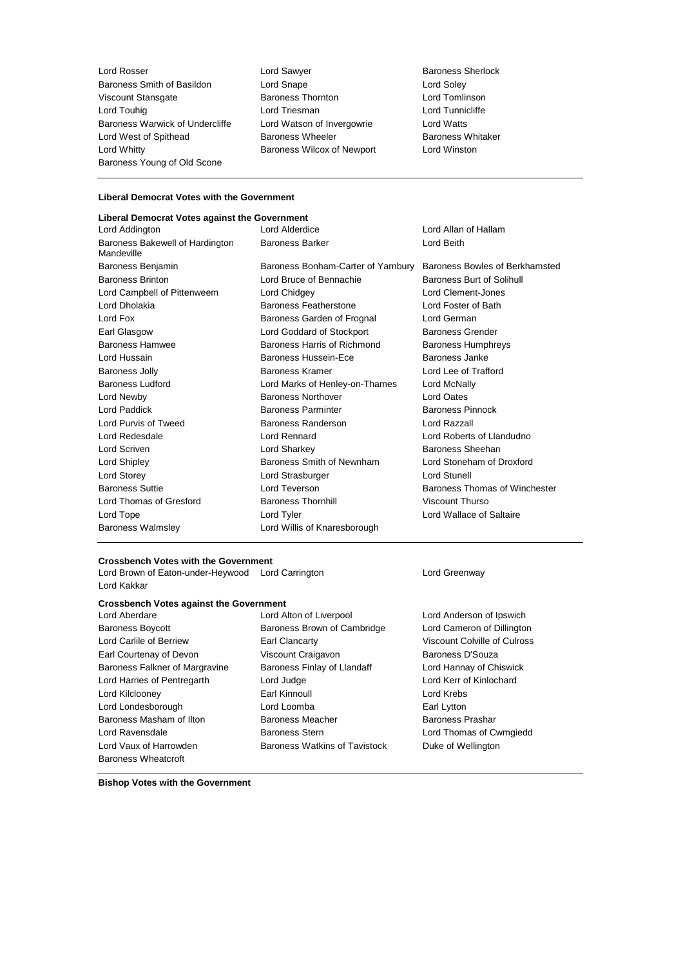**Lord Rosser Community Community** Lord Sawyer **Baroness Sherlock** Baroness Sherlock Baroness Smith of Basildon Lord Snape Lord Soley Viscount Stansgate Baroness Thornton Lord Tomlinson Lord Touhig Lord Triesman Lord Tunnicliffe Baroness Warwick of Undercliffe Lord Watson of Invergowrie Lord Watts Lord West of Spithead **Baroness Wheeler** Baroness Whitaker Lord Whitty Baroness Wilcox of Newport Lord Winston Baroness Young of Old Scone

# **Liberal Democrat Votes with the Government**

# **Liberal Democrat Votes against the Government**

Lord Alderdice **Lord Allan of Hallam** Baroness Bakewell of Hardington Mandeville Baroness Barker **Lord Beith** Baroness Benjamin Baroness Bonham-Carter of Yarnbury Baroness Bowles of Berkhamsted Baroness Brinton **Baroness Burt of Solihull** Lord Bruce of Bennachie **Baroness Burt of Solihull** Lord Campbell of Pittenweem Lord Chidgey Lord Clement-Jones Lord Dholakia **Baroness Featherstone** Lord Foster of Bath Lord Fox **Baroness Garden of Frognal** Lord German Earl Glasgow **Lord Goddard of Stockport** Baroness Grender Baroness Hamwee Baroness Harris of Richmond Baroness Humphreys Lord Hussain Baroness Hussein-Ece Baroness Janke Baroness Jolly Baroness Kramer Lord Lee of Trafford Baroness Ludford Lord Marks of Henley-on-Thames Lord McNally Lord Newby Baroness Northover Lord Oates Lord Paddick **Baroness Parminter** Baroness Parminter Baroness Pinnock Lord Purvis of Tweed Baroness Randerson Lord Razzall Lord Redesdale Lord Rennard Lord Roberts of Llandudno Lord Scriven Lord Sharkey Baroness Sheehan Lord Shipley Baroness Smith of Newnham Lord Stoneham of Droxford Lord Storey Lord Strasburger Lord Stunell Baroness Suttie **Lord Teverson Baroness Thomas of Winchester** Lord Thomas of Gresford Baroness Thornhill Viscount Thurso Lord Tope Lord Tyler Lord Wallace of Saltaire Baroness Walmsley **Lord Willis of Knaresborough** 

## **Crossbench Votes with the Government**

Lord Brown of Eaton-under-Heywood Lord Carrington **Lord Creenway** Lord Kakkar

### **Crossbench Votes against the Government**

Baroness Boycott Baroness Brown of Cambridge Lord Cameron of Dillington Lord Carlile of Berriew Earl Clancarty Viscount Colville of Culross Earl Courtenay of Devon Viscount Craigavon Baroness D'Souza Baroness Falkner of Margravine Baroness Finlay of Llandaff Lord Hannay of Chiswick Lord Harries of Pentregarth Lord Judge Lord Kerr of Kinlochard Lord Kilclooney Earl Kinnoull Lord Krebs Lord Londesborough Lord Loomba Earl Lytton Baroness Masham of Ilton Baroness Meacher Baroness Prashar Lord Ravensdale Baroness Stern Lord Thomas of Cwmgiedd Lord Vaux of Harrowden **Baroness Watkins of Tavistock** Duke of Wellington Baroness Wheatcroft

Lord Aberdare Lord Alton of Liverpool Lord Anderson of Ipswich

**Bishop Votes with the Government**